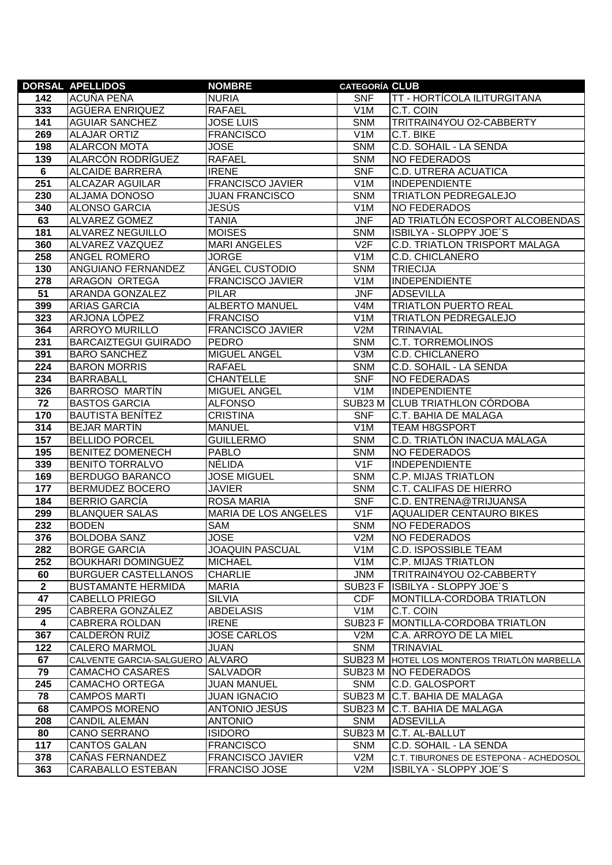|                  | <b>DORSAL APELLIDOS</b>               | <b>NOMBRE</b>                         | <b>CATEGORÍA CLUB</b> |                                              |
|------------------|---------------------------------------|---------------------------------------|-----------------------|----------------------------------------------|
| 142              | ACUÑA PEÑA                            | <b>NURIA</b>                          | <b>SNF</b>            | TT - HORTÍCOLA ILITURGITANA                  |
| 333              | AGÜERA ENRIQUEZ                       | <b>RAFAEL</b>                         | V <sub>1</sub> M      | C.T. COIN                                    |
| 141              | <b>AGUIAR SANCHEZ</b>                 | <b>JOSE LUIS</b>                      | <b>SNM</b>            | TRITRAIN4YOU O2-CABBERTY                     |
| 269              | <b>ALAJAR ORTIZ</b>                   | <b>FRANCISCO</b>                      | V <sub>1</sub> M      | C.T. BIKE                                    |
| 198              | <b>ALARCON MOTA</b>                   | <b>JOSE</b>                           | <b>SNM</b>            | C.D. SOHAIL - LA SENDA                       |
| 139              | ALARCÓN RODRÍGUEZ                     | <b>RAFAEL</b>                         | <b>SNM</b>            | NO FEDERADOS                                 |
| $6\phantom{1}6$  | <b>ALCAIDE BARRERA</b>                | <b>IRENE</b>                          | <b>SNF</b>            | C.D. UTRERA ACUATICA                         |
| 251              | <b>ALCAZAR AGUILAR</b>                | <b>FRANCISCO JAVIER</b>               | V <sub>1</sub> M      | <b>INDEPENDIENTE</b>                         |
| 230              | ALJAMA DONOSO                         | <b>JUAN FRANCISCO</b>                 | <b>SNM</b>            | <b>TRIATLON PEDREGALEJO</b>                  |
| 340              | <b>ALONSO GARCIA</b>                  | <b>JESÚS</b>                          | V <sub>1</sub> M      | <b>NO FEDERADOS</b>                          |
| 63               | ALVAREZ GOMEZ                         | <b>TANIA</b>                          | <b>JNF</b>            | AD TRIATLÓN ECOSPORT ALCOBENDAS              |
| 181              | <b>ALVAREZ NEGUILLO</b>               | <b>MOISES</b>                         | <b>SNM</b>            | <b>ISBILYA - SLOPPY JOE'S</b>                |
| 360              | ALVAREZ VAZQUEZ                       | <b>MARI ANGELES</b>                   | V2F                   | C.D. TRIATLON TRISPORT MALAGA                |
| 258              | ANGEL ROMERO                          | <b>JORGE</b>                          | V <sub>1</sub> M      | C.D. CHICLANERO                              |
| 130              | ANGUIANO FERNANDEZ                    | ÁNGEL CUSTODIO                        | <b>SNM</b>            | <b>TRIECIJA</b>                              |
| 278              | ARAGON ORTEGA                         | <b>FRANCISCO JAVIER</b>               | V <sub>1</sub> M      | <b>INDEPENDIENTE</b>                         |
| 51               | ARANDA GONZALEZ                       | <b>PILAR</b>                          | <b>JNF</b>            | <b>ADSEVILLA</b>                             |
| 399              | <b>ARIAS GARCIA</b>                   | <b>ALBERTO MANUEL</b>                 | V4M                   | <b>TRIATLON PUERTO REAL</b>                  |
| 323              | ARJONA LÓPEZ                          | <b>FRANCISO</b>                       | V1M                   | <b>TRIATLON PEDREGALEJO</b>                  |
| 364              | <b>ARROYO MURILLO</b>                 | <b>FRANCISCO JAVIER</b>               | V2M                   | <b>TRINAVIAL</b>                             |
| 231              | <b>BARCAIZTEGUI GUIRADO</b>           | <b>PEDRO</b>                          | <b>SNM</b>            | <b>C.T. TORREMOLINOS</b>                     |
| 391              | <b>BARO SANCHEZ</b>                   | <b>MIGUEL ANGEL</b>                   | V3M                   | <b>C.D. CHICLANERO</b>                       |
| $\overline{224}$ | <b>BARON MORRIS</b>                   | <b>RAFAEL</b>                         | <b>SNM</b>            | C.D. SOHAIL - LA SENDA                       |
| 234              | <b>BARRABALL</b>                      | <b>CHANTELLE</b>                      | <b>SNF</b>            | <b>NO FEDERADAS</b>                          |
| 326              | <b>BARROSO MARTÍN</b>                 | <b>MIGUEL ANGEL</b>                   | V1M                   | <b>INDEPENDIENTE</b>                         |
| 72               | <b>BASTOS GARCIA</b>                  | <b>ALFONSO</b>                        | SUB <sub>23</sub> M   | <b>CLUB TRIATHLON CÓRDOBA</b>                |
| 170              | <b>BAUTISTA BENÍTEZ</b>               | <b>CRISTINA</b>                       | <b>SNF</b>            | C.T. BAHIA DE MALAGA                         |
| 314              | <b>BEJAR MARTÍN</b>                   | <b>MANUEL</b>                         | V <sub>1</sub> M      | <b>TEAM H8GSPORT</b>                         |
| 157              | <b>BELLIDO PORCEL</b>                 | <b>GUILLERMO</b>                      | <b>SNM</b>            | C.D. TRIATLÓN INACUA MÁLAGA                  |
| 195              | <b>BENITEZ DOMENECH</b>               | <b>PABLO</b>                          | <b>SNM</b>            | NO FEDERADOS                                 |
| 339              | <b>BENITO TORRALVO</b>                | <b>NÉLIDA</b>                         | V <sub>1</sub> F      | <b>INDEPENDIENTE</b>                         |
| 169              | <b>BERDUGO BARANCO</b>                | <b>JOSE MIGUEL</b>                    | <b>SNM</b>            | <b>C.P. MIJAS TRIATLON</b>                   |
| 177              | <b>BERMUDEZ BOCERO</b>                | <b>JAVIER</b>                         | <b>SNM</b>            | C.T. CALIFAS DE HIERRO                       |
| 184<br>299       | <b>BERRIO GARCÍA</b>                  | ROSA MARIA                            | <b>SNF</b><br>V1F     | C.D. ENTRENA@TRIJUANSA                       |
| 232              | <b>BLANQUER SALAS</b><br><b>BODEN</b> | MARIA DE LOS ANGELES<br><b>SAM</b>    | <b>SNM</b>            | AQUALIDER CENTAURO BIKES                     |
| 376              | <b>BOLDOBA SANZ</b>                   |                                       | V2M                   | NO FEDERADOS                                 |
| 282              | <b>BORGE GARCIA</b>                   | <b>JOSE</b><br><b>JOAQUIN PASCUAL</b> | V <sub>1</sub> M      | NO FEDERADOS<br>C.D. ISPOSSIBLE TEAM         |
| 252              | <b>BOUKHARI DOMINGUEZ</b>             | <b>MICHAEL</b>                        | V <sub>1</sub> M      | C.P. MIJAS TRIATLON                          |
| 60               | <b>BURGUER CASTELLANOS</b>            | <b>CHARLIE</b>                        | <b>JNM</b>            | TRITRAIN4YOU O2-CABBERTY                     |
| $\boldsymbol{2}$ | <b>BUSTAMANTE HERMIDA</b>             | <b>MARIA</b>                          | SUB <sub>23</sub> F   | ISBILYA - SLOPPY JOE'S                       |
| 47               | CABELLO PRIEGO                        | <b>SILVIA</b>                         | <b>CDF</b>            | MONTILLA-CORDOBA TRIATLON                    |
| 295              | CABRERA GONZÁLEZ                      | <b>ABDELASIS</b>                      | V <sub>1</sub> M      | C.T. COIN                                    |
| $\overline{4}$   | <b>CABRERA ROLDAN</b>                 | <b>IRENE</b>                          | SUB23F                | MONTILLA-CORDOBA TRIATLON                    |
| 367              | CALDERÓN RUÍZ                         | <b>JOSE CARLOS</b>                    | V2M                   | C.A. ARROYO DE LA MIEL                       |
| 122              | <b>CALERO MARMOL</b>                  | <b>JUAN</b>                           | <b>SNM</b>            | <b>TRINAVIAL</b>                             |
| 67               | CALVENTE GARCIA-SALGUERO ALVARO       |                                       |                       | SUB23 M HOTEL LOS MONTEROS TRIATLÓN MARBELLA |
| 79               | <b>CAMACHO CASARES</b>                | SALVADOR                              |                       | SUB23 M NO FEDERADOS                         |
| 245              | <b>CAMACHO ORTEGA</b>                 | <b>JUAN MANUEL</b>                    | <b>SNM</b>            | C.D. GALOSPORT                               |
| 78               | <b>CAMPOS MARTI</b>                   | <b>JUAN IGNACIO</b>                   |                       | SUB23 M C.T. BAHIA DE MALAGA                 |
| 68               | <b>CAMPOS MORENO</b>                  | ANTONIO JESÚS                         |                       | SUB23 M C.T. BAHIA DE MALAGA                 |
| 208              | <b>CANDIL ALEMÁN</b>                  | <b>ANTONIO</b>                        | <b>SNM</b>            | <b>ADSEVILLA</b>                             |
| 80               | CANO SERRANO                          | <b>ISIDORO</b>                        | SUB23 M               | C.T. AL-BALLUT                               |
| 117              | <b>CANTOS GALAN</b>                   | <b>FRANCISCO</b>                      | <b>SNM</b>            | C.D. SOHAIL - LA SENDA                       |
| 378              | CAÑAS FERNANDEZ                       | <b>FRANCISCO JAVIER</b>               | V2M                   | C.T. TIBURONES DE ESTEPONA - ACHEDOSOL       |
| 363              | CARABALLO ESTEBAN                     | FRANCISO JOSE                         | V2M                   | ISBILYA - SLOPPY JOE'S                       |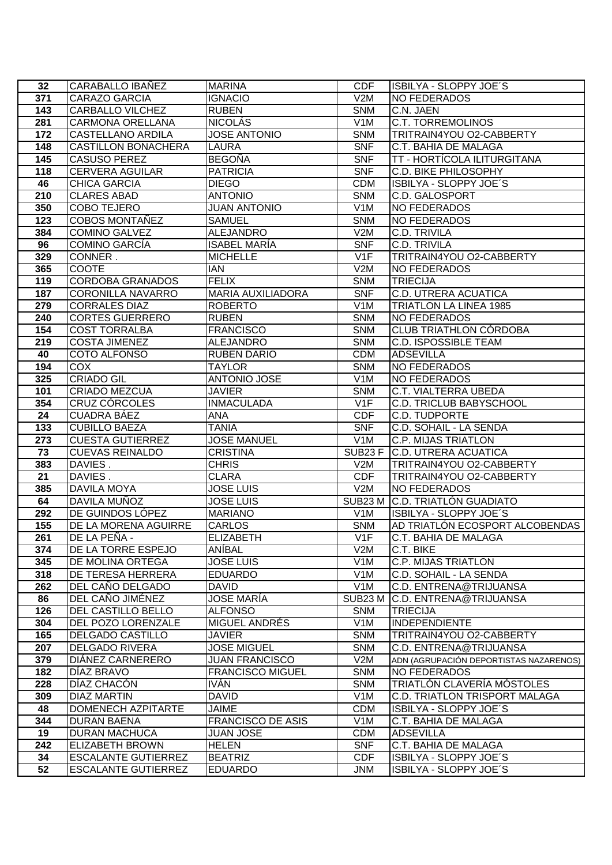| 32                     | CARABALLO IBANEZ                                  | <b>MARINA</b>                         | <b>CDF</b>               | ISBILYA - SLOPPY JOE'S                                   |
|------------------------|---------------------------------------------------|---------------------------------------|--------------------------|----------------------------------------------------------|
| 371                    | <b>CARAZO GARCIA</b>                              | <b>IGNACIO</b>                        | V2M                      | <b>NO FEDERADOS</b>                                      |
| $\overline{143}$       | <b>CARBALLO VILCHEZ</b>                           | <b>RUBEN</b>                          | <b>SNM</b>               | C.N. JAEN                                                |
| 281                    | <b>CARMONA ORELLANA</b>                           | <b>NICOLÁS</b>                        | V <sub>1</sub> M         | <b>C.T. TORREMOLINOS</b>                                 |
| 172                    | <b>CASTELLANO ARDILA</b>                          | <b>JOSE ANTONIO</b>                   | <b>SNM</b>               | TRITRAIN4YOU O2-CABBERTY                                 |
| 148                    | <b>CASTILLON BONACHERA</b>                        | <b>LAURA</b>                          | <b>SNF</b>               | <b>C.T. BAHIA DE MALAGA</b>                              |
| 145                    | <b>CASUSO PEREZ</b>                               | <b>BEGOÑA</b>                         | <b>SNF</b>               | TT - HORTÍCOLA ILITURGITANA                              |
| 118                    | <b>CERVERA AGUILAR</b>                            | <b>PATRICIA</b>                       | <b>SNF</b>               | <b>C.D. BIKE PHILOSOPHY</b>                              |
| 46                     | <b>CHICA GARCIA</b>                               | <b>DIEGO</b>                          | <b>CDM</b>               | ISBILYA - SLOPPY JOE'S                                   |
| 210                    | <b>CLARES ABAD</b>                                | <b>ANTONIO</b>                        | <b>SNM</b>               | <b>C.D. GALOSPORT</b>                                    |
| 350                    | <b>COBO TEJERO</b>                                | <b>JUAN ANTONIO</b>                   | V <sub>1</sub> M         | <b>NO FEDERADOS</b>                                      |
| 123                    | COBOS MONTAÑEZ                                    | <b>SAMUEL</b>                         | <b>SNM</b>               | <b>NO FEDERADOS</b>                                      |
| 384                    | <b>COMINO GALVEZ</b>                              | <b>ALEJANDRO</b>                      | V2M                      | <b>C.D. TRIVILA</b>                                      |
| 96                     | <b>COMINO GARCÍA</b>                              | <b>ISABEL MARÍA</b>                   | <b>SNF</b>               | <b>C.D. TRIVILA</b>                                      |
| 329                    | CONNER.                                           | <b>MICHELLE</b>                       | V1F                      | TRITRAIN4YOU O2-CABBERTY                                 |
| 365                    | <b>COOTE</b>                                      | <b>IAN</b>                            | V2M                      | NO FEDERADOS                                             |
| 119                    | <b>CORDOBA GRANADOS</b>                           | <b>FELIX</b>                          | <b>SNM</b>               | <b>TRIECIJA</b>                                          |
| 187                    | <b>CORONILLA NAVARRO</b>                          | <b>MARIA AUXILIADORA</b>              | <b>SNF</b>               | <b>C.D. UTRERA ACUATICA</b>                              |
| 279                    | <b>CORRALES DIAZ</b>                              | <b>ROBERTO</b>                        | V1M                      | <b>TRIATLON LA LINEA 1985</b>                            |
| 240                    | <b>CORTES GUERRERO</b>                            | <b>RUBEN</b>                          | <b>SNM</b>               | NO FEDERADOS                                             |
| 154                    | <b>COST TORRALBA</b>                              | <b>FRANCISCO</b>                      | <b>SNM</b>               | <b>CLUB TRIATHLON CÓRDOBA</b>                            |
| 219                    | <b>COSTA JIMENEZ</b>                              | <b>ALEJANDRO</b>                      | <b>SNM</b>               | <b>C.D. ISPOSSIBLE TEAM</b>                              |
| 40                     | <b>COTO ALFONSO</b>                               | RUBEN DARIO                           | <b>CDM</b>               | <b>ADSEVILLA</b>                                         |
| 194                    | <b>COX</b>                                        | <b>TAYLOR</b>                         | <b>SNM</b>               | NO FEDERADOS                                             |
| 325                    | <b>CRIADO GIL</b>                                 | <b>ANTONIO JOSE</b>                   | V <sub>1</sub> M         | NO FEDERADOS                                             |
| 101                    | <b>CRIADO MEZCUA</b>                              | <b>JAVIER</b>                         | <b>SNM</b>               | <b>C.T. VIALTERRA UBEDA</b>                              |
| 354                    | CRUZ CÓRCOLES                                     | <b>INMACULADA</b>                     | V1F                      | <b>C.D. TRICLUB BABYSCHOOL</b>                           |
| 24                     | <b>CUADRA BÁEZ</b>                                | ANA                                   | <b>CDF</b>               | <b>C.D. TUDPORTE</b>                                     |
| 133                    | <b>CUBILLO BAEZA</b>                              | <b>TANIA</b>                          | <b>SNF</b>               | C.D. SOHAIL - LA SENDA                                   |
| 273<br>73              | <b>CUESTA GUTIERREZ</b><br><b>CUEVAS REINALDO</b> | <b>JOSE MANUEL</b><br><b>CRISTINA</b> | V <sub>1</sub> M         | <b>C.P. MIJAS TRIATLON</b>                               |
| 383                    | DAVIES.                                           | <b>CHRIS</b>                          | V2M                      | SUB23 F C.D. UTRERA ACUATICA<br>TRITRAIN4YOU O2-CABBERTY |
| 21                     | DAVIES.                                           | CLARA                                 | <b>CDF</b>               | TRITRAIN4YOU O2-CABBERTY                                 |
| 385                    | <b>DAVILA MOYA</b>                                | <b>JOSE LUIS</b>                      | V2M                      | <b>NO FEDERADOS</b>                                      |
| 64                     | DAVILA MUÑOZ                                      | <b>JOSE LUIS</b>                      | SUB23 M                  | C.D. TRIATLÓN GUADIATO                                   |
| 292                    | DE GUINDOS LÓPEZ                                  | <b>MARIANO</b>                        | V <sub>1</sub> M         | ISBILYA - SLOPPY JOE'S                                   |
| 155                    | DE LA MORENA AGUIRRE                              | <b>CARLOS</b>                         | <b>SNM</b>               | AD TRIATLÓN ECOSPORT ALCOBENDAS                          |
| 261                    | DE LA PEÑA -                                      | <b>ELIZABETH</b>                      | V1F                      | C.T. BAHIA DE MALAGA                                     |
| 374                    | DE LA TORRE ESPEJO                                | ANÍBAL                                | V2M                      | C.T. BIKE                                                |
| 345                    | DE MOLINA ORTEGA                                  | <b>JOSE LUIS</b>                      | V <sub>1</sub> M         | <b>C.P. MIJAS TRIATLON</b>                               |
| 318                    | DE TERESA HERRERA                                 | <b>EDUARDO</b>                        | V <sub>1</sub> M         | C.D. SOHAIL - LA SENDA                                   |
| 262                    | DEL CAÑO DELGADO                                  | DAVID                                 | V <sub>1</sub> M         | C.D. ENTRENA@TRIJUANSA                                   |
| 86                     | DEL CAÑO JIMÉNEZ                                  | JOSE MARÍA                            | SUB23 M                  | C.D. ENTRENA@TRIJUANSA                                   |
| 126                    | DEL CASTILLO BELLO                                | ALFONSO                               | <b>SNM</b>               | <b>TRIECIJA</b>                                          |
| 304                    | DEL POZO LORENZALE                                | MIGUEL ANDRÉS                         | V <sub>1</sub> M         | <b>INDEPENDIENTE</b>                                     |
| 165                    | <b>DELGADO CASTILLO</b>                           | JAVIER                                | <b>SNM</b>               | TRITRAIN4YOU O2-CABBERTY                                 |
| 207                    | <b>DELGADO RIVERA</b>                             | <b>JOSE MIGUEL</b>                    | <b>SNM</b>               | C.D. ENTRENA@TRIJUANSA                                   |
| 379                    | DIÁNEZ CARNERERO                                  | <b>JUAN FRANCISCO</b>                 | V2M                      | ADN (AGRUPACIÓN DEPORTISTAS NAZARENOS)                   |
| 182                    | DÍAZ BRAVO                                        | <b>FRANCISCO MIGUEL</b>               | <b>SNM</b>               | NO FEDERADOS                                             |
| 228                    | DÍAZ CHACÓN                                       | <b>IVÁN</b>                           | <b>SNM</b>               | <b>TRIATLON CLAVERÍA MÓSTOLES</b>                        |
| 309                    | DIAZ MARTIN                                       | <b>DAVID</b>                          | V <sub>1</sub> M         | C.D. TRIATLON TRISPORT MALAGA                            |
| 48                     | DOMENECH AZPITARTE                                | <b>JAIME</b>                          | <b>CDM</b>               | ISBILYA - SLOPPY JOE'S                                   |
| 344                    | <b>DURAN BAENA</b>                                | <b>FRANCISCO DE ASIS</b>              | V <sub>1</sub> M         | C.T. BAHIA DE MALAGA                                     |
| 19<br>$\overline{242}$ | <b>DURAN MACHUCA</b><br><b>ELIZABETH BROWN</b>    | <b>JUAN JOSE</b>                      | <b>CDM</b><br><b>SNF</b> | <b>ADSEVILLA</b><br>C.T. BAHIA DE MALAGA                 |
| 34                     | <b>ESCALANTE GUTIERREZ</b>                        | <b>HELEN</b><br><b>BEATRIZ</b>        | <b>CDF</b>               | ISBILYA - SLOPPY JOE'S                                   |
| 52                     | <b>ESCALANTE GUTIERREZ</b>                        | <b>EDUARDO</b>                        | <b>JNM</b>               | ISBILYA - SLOPPY JOE'S                                   |
|                        |                                                   |                                       |                          |                                                          |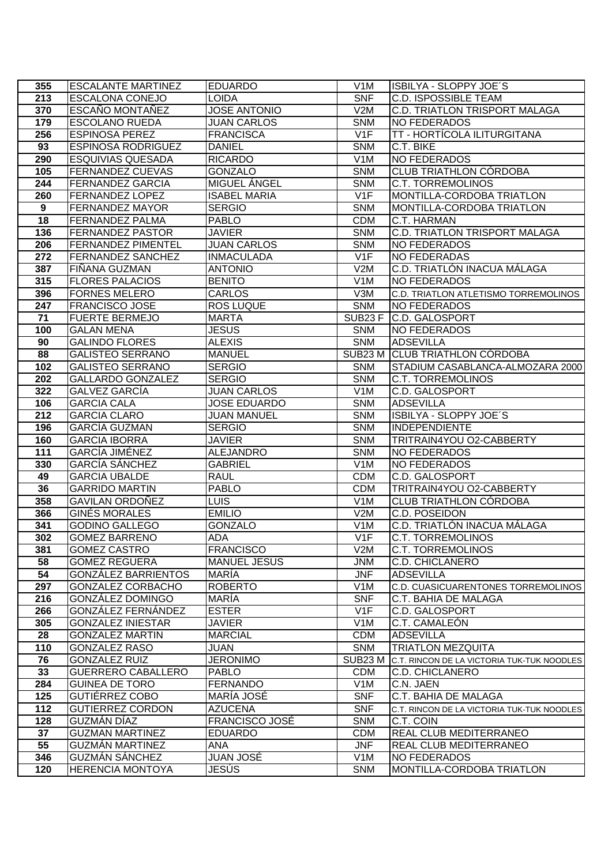| 355             | <b>ESCALANTE MARTINEZ</b>                    | <b>EDUARDO</b>                   | V <sub>1</sub> M         | ISBILYA - SLOPPY JOE'S                         |
|-----------------|----------------------------------------------|----------------------------------|--------------------------|------------------------------------------------|
| 213             | <b>ESCALONA CONEJO</b>                       | LOIDA                            | <b>SNF</b>               | <b>C.D. ISPOSSIBLE TEAM</b>                    |
| 370             | ESCAÑO MONTAÑEZ                              | <b>JOSE ANTONIO</b>              | V2M                      | <b>C.D. TRIATLON TRISPORT MALAGA</b>           |
| 179             | <b>ESCOLANO RUEDA</b>                        | <b>JUAN CARLOS</b>               | <b>SNM</b>               | <b>NO FEDERADOS</b>                            |
| 256             | <b>ESPINOSA PEREZ</b>                        | <b>FRANCISCA</b>                 | V1F                      | TT - HORTÍCOLA ILITURGITANA                    |
| 93              | <b>ESPINOSA RODRIGUEZ</b>                    | <b>DANIEL</b>                    | <b>SNM</b>               | C.T. BIKE                                      |
| 290             | <b>ESQUIVIAS QUESADA</b>                     | <b>RICARDO</b>                   | V <sub>1</sub> M         | <b>NO FEDERADOS</b>                            |
| 105             | <b>FERNANDEZ CUEVAS</b>                      | <b>GONZALO</b>                   | <b>SNM</b>               | <b>CLUB TRIATHLON CÓRDOBA</b>                  |
| 244             | <b>FERNANDEZ GARCIA</b>                      | MIGUEL ÁNGEL                     | <b>SNM</b>               | <b>C.T. TORREMOLINOS</b>                       |
| 260             | <b>FERNANDEZ LOPEZ</b>                       | <b>ISABEL MARIA</b>              | V1F                      | MONTILLA-CORDOBA TRIATLON                      |
| $\overline{9}$  | <b>FERNANDEZ MAYOR</b>                       | <b>SERGIO</b>                    | <b>SNM</b>               | MONTILLA-CORDOBA TRIATLON                      |
| 18              | <b>FERNANDEZ PALMA</b>                       | <b>PABLO</b>                     | <b>CDM</b>               | C.T. HARMAN                                    |
| $\frac{136}{ }$ | <b>FERNANDEZ PASTOR</b>                      | <b>JAVIER</b>                    | <b>SNM</b>               | <b>C.D. TRIATLON TRISPORT MALAGA</b>           |
| 206             | <b>FERNANDEZ PIMENTEL</b>                    | <b>JUAN CARLOS</b>               | <b>SNM</b>               | <b>NO FEDERADOS</b>                            |
| 272             | <b>FERNANDEZ SANCHEZ</b>                     | <b>INMACULADA</b>                | V1F                      | <b>NO FEDERADAS</b>                            |
| 387             | FIÑANA GUZMAN                                | <b>ANTONIO</b>                   | V2M                      | C.D. TRIATLÓN INACUA MÁLAGA                    |
| 315             | <b>FLORES PALACIOS</b>                       | <b>BENITO</b>                    | V <sub>1</sub> M         | <b>NO FEDERADOS</b>                            |
| 396             | <b>FORNES MELERO</b>                         | <b>CARLOS</b>                    | V3M                      | C.D. TRIATLON ATLETISMO TORREMOLINOS           |
| 247             | <b>FRANCISCO JOSE</b>                        | <b>ROS LUQUE</b>                 | <b>SNM</b>               | <b>NO FEDERADOS</b>                            |
| $\overline{71}$ | <b>FUERTE BERMEJO</b>                        | <b>MARTA</b>                     |                          | SUB23 F C.D. GALOSPORT                         |
| 100             | <b>GALAN MENA</b>                            | <b>JESUS</b>                     | <b>SNM</b>               | <b>NO FEDERADOS</b>                            |
| 90              | <b>GALINDO FLORES</b>                        | <b>ALEXIS</b>                    | <b>SNM</b>               | <b>ADSEVILLA</b>                               |
| 88              | <b>GALISTEO SERRANO</b>                      | <b>MANUEL</b>                    |                          | SUB23 M CLUB TRIATHLON CÓRDOBA                 |
| 102             | <b>GALISTEO SERRANO</b>                      | <b>SERGIO</b>                    | <b>SNM</b>               | STADIUM CASABLANCA-ALMOZARA 2000               |
| 202             | <b>GALLARDO GONZALEZ</b>                     | <b>SERGIO</b>                    | <b>SNM</b>               | <b>C.T. TORREMOLINOS</b>                       |
| 322             | <b>GALVEZ GARCÍA</b>                         | <b>JUAN CARLOS</b>               | V <sub>1</sub> M         | <b>C.D. GALOSPORT</b>                          |
| 106             | <b>GARCIA CALA</b>                           | <b>JOSE EDUARDO</b>              | <b>SNM</b>               | <b>ADSEVILLA</b>                               |
| 212             | <b>GARCIA CLARO</b>                          | <b>JUAN MANUEL</b>               | <b>SNM</b><br><b>SNM</b> | ISBILYA - SLOPPY JOE'S<br><b>INDEPENDIENTE</b> |
| 196<br>160      | <b>GARCÍA GUZMAN</b><br><b>GARCIA IBORRA</b> | <b>SERGIO</b><br><b>JAVIER</b>   | <b>SNM</b>               | TRITRAIN4YOU O2-CABBERTY                       |
| 111             | <b>GARCÍA JIMÉNEZ</b>                        | <b>ALEJANDRO</b>                 | <b>SNM</b>               | <b>NO FEDERADOS</b>                            |
| 330             | <b>GARCÍA SÁNCHEZ</b>                        | <b>GABRIEL</b>                   | V1M                      | <b>NO FEDERADOS</b>                            |
| 49              | <b>GARCIA UBALDE</b>                         | <b>RAUL</b>                      | <b>CDM</b>               | <b>C.D. GALOSPORT</b>                          |
| 36              | <b>GARRIDO MARTIN</b>                        | <b>PABLO</b>                     | <b>CDM</b>               | TRITRAIN4YOU O2-CABBERTY                       |
| 358             | <b>GAVILAN ORDOÑEZ</b>                       | <b>LUIS</b>                      | V <sub>1</sub> M         | <b>CLUB TRIATHLON CÓRDOBA</b>                  |
| 366             | <b>GINÉS MORALES</b>                         | <b>EMILIO</b>                    | V2M                      | <b>C.D. POSEIDON</b>                           |
| 341             | <b>GODINO GALLEGO</b>                        | <b>GONZALO</b>                   | V <sub>1</sub> M         | C.D. TRIATLÓN INACUA MÁLAGA                    |
| 302             | <b>GOMEZ BARRENO</b>                         | <b>ADA</b>                       | V <sub>1</sub> F         | <b>C.T. TORREMOLINOS</b>                       |
| 381             | <b>GOMEZ CASTRO</b>                          | <b>FRANCISCO</b>                 | V2M                      | <b>C.T. TORREMOLINOS</b>                       |
| 58              | <b>GOMEZ REGUERA</b>                         | <b>MANUEL JESUS</b>              | <b>JNM</b>               | <b>C.D. CHICLANERO</b>                         |
| 54              | <b>GONZÁLEZ BARRIENTOS</b>                   | <b>MARÍA</b>                     | <b>JNF</b>               | <b>ADSEVILLA</b>                               |
| 297             | <b>GONZALEZ CORBACHO</b>                     | <b>ROBERTO</b>                   | V <sub>1</sub> M         | C.D. CUASICUARENTONES TORREMOLINOS             |
| 216             | <b>GONZALEZ DOMINGO</b>                      | <b>MARÍA</b>                     | <b>SNF</b>               | C.T. BAHIA DE MALAGA                           |
| 266             | <b>GONZALEZ FERNANDEZ</b>                    | <b>ESTER</b>                     | V <sub>1</sub> F         | C.D. GALOSPORT                                 |
| 305             | <b>GONZALEZ INIESTAR</b>                     | <b>JAVIER</b>                    | V <sub>1</sub> M         | C.T. CAMALEÓN                                  |
| 28              | <b>GONZALEZ MARTIN</b>                       | <b>MARCIAL</b>                   | <b>CDM</b>               | <b>ADSEVILLA</b>                               |
| 110             | <b>GONZALEZ RASO</b>                         | <b>JUAN</b>                      | <b>SNM</b>               | <b>TRIATLON MEZQUITA</b>                       |
| 76              | <b>GONZALEZ RUIZ</b>                         | <b>JERONIMO</b>                  | SUB23 M                  | C.T. RINCON DE LA VICTORIA TUK-TUK NOODLES     |
| 33              | <b>GUERRERO CABALLERO</b>                    | <b>PABLO</b>                     | <b>CDM</b>               | <b>C.D. CHICLANERO</b>                         |
| 284             | <b>GUINEA DE TORO</b>                        | <b>FERNANDO</b>                  | V <sub>1</sub> M         | C.N. JAEN                                      |
| 125             | GUTIÉRREZ COBO                               | MARÍA JOSÉ                       | <b>SNF</b>               | C.T. BAHIA DE MALAGA                           |
| 112             | <b>GUTIERREZ CORDON</b><br>GUZMÁN DÍAZ       | <b>AZUCENA</b><br>FRANCISCO JOSÉ | $\overline{\text{SNF}}$  | C.T. RINCON DE LA VICTORIA TUK-TUK NOODLES     |
| 128<br>37       | <b>GUZMAN MARTINEZ</b>                       | <b>EDUARDO</b>                   | <b>SNM</b><br><b>CDM</b> | C.T. COIN<br>REAL CLUB MEDITERRANEO            |
| 55              | <b>GUZMÁN MARTINEZ</b>                       | ANA                              | <b>JNF</b>               | REAL CLUB MEDITERRANEO                         |
| 346             | <b>GUZMÁN SÁNCHEZ</b>                        | JUAN JOSÉ                        | V <sub>1</sub> M         | <b>NO FEDERADOS</b>                            |
| 120             | <b>HERENCIA MONTOYA</b>                      | JESÚS                            | <b>SNM</b>               | MONTILLA-CORDOBA TRIATLON                      |
|                 |                                              |                                  |                          |                                                |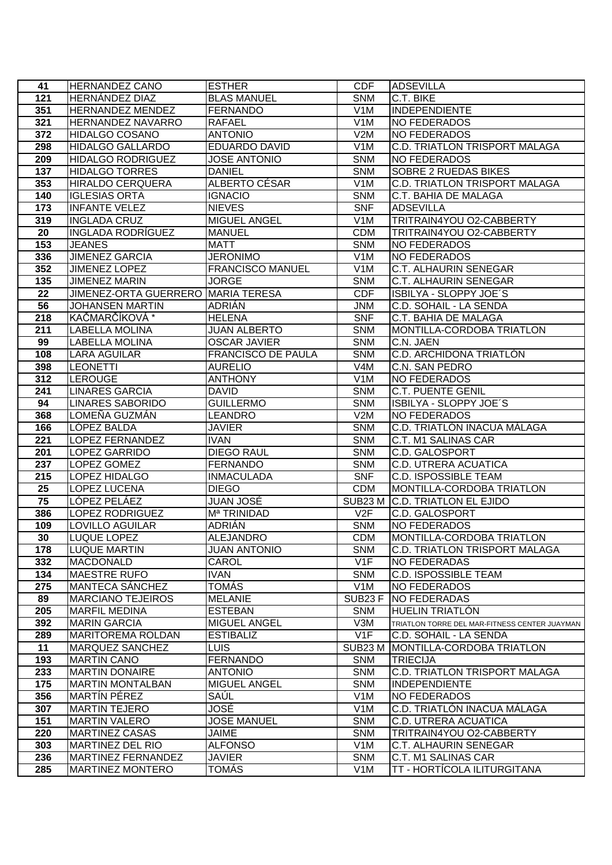| 41              | <b>HERNANDEZ CANO</b>              | <b>ESTHER</b>                     | <b>CDF</b>               | <b>ADSEVILLA</b>                                         |
|-----------------|------------------------------------|-----------------------------------|--------------------------|----------------------------------------------------------|
| 121             | HERNÁNDEZ DIAZ                     | <b>BLAS MANUEL</b>                | <b>SNM</b>               | C.T. BIKE                                                |
| 351             | <b>HERNANDEZ MENDEZ</b>            | <b>FERNANDO</b>                   | V1M                      | <b>INDEPENDIENTE</b>                                     |
| 321             | HERNANDEZ NAVARRO                  | <b>RAFAEL</b>                     | V <sub>1</sub> M         | <b>NO FEDERADOS</b>                                      |
| 372             | <b>HIDALGO COSANO</b>              | <b>ANTONIO</b>                    | V2M                      | <b>NO FEDERADOS</b>                                      |
| 298             | <b>HIDALGO GALLARDO</b>            | <b>EDUARDO DAVID</b>              | V <sub>1</sub> M         | <b>C.D. TRIATLON TRISPORT MALAGA</b>                     |
| 209             | <b>HIDALGO RODRIGUEZ</b>           | <b>JOSE ANTONIO</b>               | <b>SNM</b>               | <b>NO FEDERADOS</b>                                      |
| 137             | <b>HIDALGO TORRES</b>              | <b>DANIEL</b>                     | <b>SNM</b>               | SOBRE 2 RUEDAS BIKES                                     |
| 353             | HIRALDO CERQUERA                   | ALBERTO CÉSAR                     | V <sub>1</sub> M         | <b>C.D. TRIATLON TRISPORT MALAGA</b>                     |
| 140             | <b>IGLESIAS ORTA</b>               | <b>IGNACIO</b>                    | <b>SNM</b>               | C.T. BAHIA DE MALAGA                                     |
| 173             | <b>INFANTE VELEZ</b>               | <b>NIEVES</b>                     | <b>SNF</b>               | <b>ADSEVILLA</b>                                         |
| 319             | <b>INGLADA CRUZ</b>                | <b>MIGUEL ANGEL</b>               | V <sub>1</sub> M         | TRITRAIN4YOU O2-CABBERTY                                 |
| $\overline{20}$ | <b>INGLADA RODRÍGUEZ</b>           | <b>MANUEL</b>                     | <b>CDM</b>               | TRITRAIN4YOU O2-CABBERTY                                 |
| 153             | <b>JEANES</b>                      | <b>MATT</b>                       | <b>SNM</b>               | <b>NO FEDERADOS</b>                                      |
| 336             | <b>JIMENEZ GARCIA</b>              | <b>JERONIMO</b>                   | V1M                      | <b>NO FEDERADOS</b>                                      |
| 352             | JIMENEZ LOPEZ                      | <b>FRANCISCO MANUEL</b>           | V1M                      | <b>C.T. ALHAURIN SENEGAR</b>                             |
| 135             | <b>JIMENEZ MARIN</b>               | <b>JORGE</b>                      | <b>SNM</b>               | C.T. ALHAURIN SENEGAR                                    |
| 22              | JIMENEZ-ORTA GUERRERO MARIA TERESA |                                   | <b>CDF</b>               | ISBILYA - SLOPPY JOE'S                                   |
| 56              | <b>JOHANSEN MARTIN</b>             | <b>ADRIÁN</b>                     | <b>JNM</b>               | C.D. SOHAIL - LA SENDA                                   |
| 218             | KAČMARČÍKOVÁ *                     | <b>HELENA</b>                     | <b>SNF</b>               | C.T. BAHIA DE MALAGA                                     |
| 211             | <b>LABELLA MOLINA</b>              | <b>JUAN ALBERTO</b>               | <b>SNM</b>               | MONTILLA-CORDOBA TRIATLON                                |
| 99              | <b>LABELLA MOLINA</b>              | <b>OSCAR JAVIER</b>               | <b>SNM</b>               | C.N. JAEN                                                |
| 108             | <b>LARA AGUILAR</b>                | <b>FRANCISCO DE PAULA</b>         | <b>SNM</b>               | C.D. ARCHIDONA TRIATLÓN                                  |
| 398             | <b>LEONETTI</b>                    | <b>AURELIO</b>                    | V <sub>4</sub> M         | C.N. SAN PEDRO                                           |
| 312             | <b>LEROUGE</b>                     | <b>ANTHONY</b>                    | V <sub>1</sub> M         | <b>NO FEDERADOS</b>                                      |
| 241             | <b>LINARES GARCIA</b>              | <b>DAVID</b>                      | <b>SNM</b>               | <b>C.T. PUENTE GENIL</b>                                 |
| 94              | <b>LINARES SABORIDO</b>            | <b>GUILLERMO</b>                  | <b>SNM</b>               | ISBILYA - SLOPPY JOE'S                                   |
| 368             | LOMEÑA GUZMÁN                      | <b>LEANDRO</b>                    | V2M                      | <b>NO FEDERADOS</b>                                      |
| 166             | LÓPEZ BALDA                        | <b>JAVIER</b>                     | <b>SNM</b>               | C.D. TRIATLÓN INACUA MÁLAGA                              |
| 221             | <b>LOPEZ FERNANDEZ</b>             | <b>IVAN</b>                       | <b>SNM</b>               | C.T. M1 SALINAS CAR                                      |
| 201             | <b>LOPEZ GARRIDO</b>               | <b>DIEGO RAUL</b>                 | <b>SNM</b>               | <b>C.D. GALOSPORT</b>                                    |
| 237             | LOPEZ GOMEZ                        | <b>FERNANDO</b>                   | <b>SNM</b><br><b>SNF</b> | <b>C.D. UTRERA ACUATICA</b>                              |
| 215<br>25       | LOPEZ HIDALGO                      | <b>INMACULADA</b><br><b>DIEGO</b> | <b>CDM</b>               | <b>C.D. ISPOSSIBLE TEAM</b><br>MONTILLA-CORDOBA TRIATLON |
| 75              | LOPEZ LUCENA<br>LÓPEZ PELÁEZ       | <b>JUAN JOSÉ</b>                  |                          | SUB23 M C.D. TRIATLON EL EJIDO                           |
| 386             | LOPEZ RODRIGUEZ                    | M <sup>a</sup> TRINIDAD           | V2F                      | <b>C.D. GALOSPORT</b>                                    |
| 109             | <b>LOVILLO AGUILAR</b>             | <b>ADRIÁN</b>                     | <b>SNM</b>               | <b>NO FEDERADOS</b>                                      |
| 30              | <b>LUQUE LOPEZ</b>                 | <b>ALEJANDRO</b>                  | <b>CDM</b>               | MONTILLA-CORDOBA TRIATLON                                |
| 178             | <b>LUQUE MARTIN</b>                | <b>JUAN ANTONIO</b>               | <b>SNM</b>               | <b>C.D. TRIATLON TRISPORT MALAGA</b>                     |
| 332             | <b>MACDONALD</b>                   | CAROL                             | V1F                      | <b>NO FEDERADAS</b>                                      |
| 134             | <b>MAESTRE RUFO</b>                | <b>IVAN</b>                       | <b>SNM</b>               | <b>C.D. ISPOSSIBLE TEAM</b>                              |
| 275             | <b>MANTECA SÁNCHEZ</b>             | TOMÁS                             | V <sub>1</sub> M         | <b>NO FEDERADOS</b>                                      |
| 89              | <b>MARCIANO TEJEIROS</b>           | <b>MELANIE</b>                    | SUB <sub>23</sub> F      | NO FEDERADAS                                             |
| 205             | <b>MARFIL MEDINA</b>               | <b>ESTEBAN</b>                    | <b>SNM</b>               | <b>HUELIN TRIATLON</b>                                   |
| 392             | <b>MARIN GARCIA</b>                | <b>MIGUEL ANGEL</b>               | V3M                      | TRIATLON TORRE DEL MAR-FITNESS CENTER JUAYMAN            |
| 289             | <b>MARITOREMA ROLDAN</b>           | <b>ESTIBALIZ</b>                  | V1F                      | C.D. SOHAIL - LA SENDA                                   |
| 11              | <b>MARQUEZ SANCHEZ</b>             | <b>LUIS</b>                       | SUB <sub>23</sub> M      | <b>MONTILLA-CORDOBA TRIATLON</b>                         |
| 193             | <b>MARTIN CANO</b>                 | <b>FERNANDO</b>                   | <b>SNM</b>               | <b>TRIECIJA</b>                                          |
| 233             | <b>MARTIN DONAIRE</b>              | <b>ANTONIO</b>                    | <b>SNM</b>               | C.D. TRIATLON TRISPORT MALAGA                            |
| 175             | <b>MARTIN MONTALBAN</b>            | <b>MIGUEL ANGEL</b>               | <b>SNM</b>               | <b>INDEPENDIENTE</b>                                     |
| 356             | <b>MARTÍN PÉREZ</b>                | SAÚL                              | V <sub>1</sub> M         | <b>NO FEDERADOS</b>                                      |
| 307             | <b>MARTIN TEJERO</b>               | JOSÉ                              | V <sub>1</sub> M         | C.D. TRIATLÓN INACUA MÁLAGA                              |
| 151             | <b>MARTIN VALERO</b>               | <b>JOSE MANUEL</b>                | <b>SNM</b>               | C.D. UTRERA ACUATICA                                     |
| 220             | <b>MARTINEZ CASAS</b>              | JAIME                             | <b>SNM</b>               | TRITRAIN4YOU O2-CABBERTY                                 |
| 303             | <b>MARTINEZ DEL RIO</b>            | <b>ALFONSO</b>                    | V <sub>1</sub> M         | C.T. ALHAURIN SENEGAR                                    |
| 236             | <b>MARTINEZ FERNANDEZ</b>          | <b>JAVIER</b>                     | <b>SNM</b>               | C.T. M1 SALINAS CAR                                      |
| 285             | <b>MARTINEZ MONTERO</b>            | TOMÁS                             | V <sub>1</sub> M         | TT - HORTÍCOLA ILITURGITANA                              |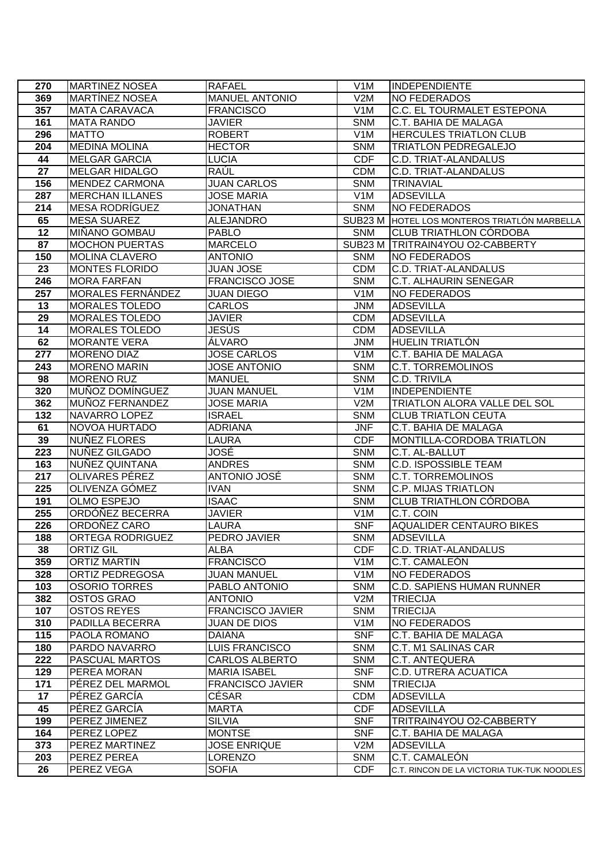| 270              | <b>MARTINEZ NOSEA</b>            | <b>RAFAEL</b>                        | V <sub>1</sub> M         | INDEPENDIENTE                                          |
|------------------|----------------------------------|--------------------------------------|--------------------------|--------------------------------------------------------|
| 369              | <b>MARTINEZ NOSEA</b>            | <b>MANUEL ANTONIO</b>                | V2M                      | NO FEDERADOS                                           |
| 357              | <b>MATA CARAVACA</b>             | <b>FRANCISCO</b>                     | V <sub>1</sub> M         | C.C. EL TOURMALET ESTEPONA                             |
| 161              | <b>MATA RANDO</b>                | <b>JAVIER</b>                        | <b>SNM</b>               | C.T. BAHIA DE MALAGA                                   |
| 296              | <b>MATTO</b>                     | <b>ROBERT</b>                        | V <sub>1</sub> M         | <b>HERCULES TRIATLON CLUB</b>                          |
| 204              | <b>MEDINA MOLINA</b>             | <b>HECTOR</b>                        | <b>SNM</b>               | <b>TRIATLON PEDREGALEJO</b>                            |
| 44               | <b>MELGAR GARCIA</b>             | <b>LUCIA</b>                         | <b>CDF</b>               | C.D. TRIAT-ALANDALUS                                   |
| $\overline{27}$  | <b>MELGAR HIDALGO</b>            | RAÚL                                 | <b>CDM</b>               | C.D. TRIAT-ALANDALUS                                   |
| 156              | <b>MENDEZ CARMONA</b>            | <b>JUAN CARLOS</b>                   | <b>SNM</b>               | <b>TRINAVIAL</b>                                       |
| 287              | <b>MERCHAN ILLANES</b>           | <b>JOSE MARIA</b>                    | V1M                      | <b>ADSEVILLA</b>                                       |
| 214              | <b>MESA RODRIGUEZ</b>            | <b>JONATHAN</b>                      | <b>SNM</b>               | <b>NO FEDERADOS</b>                                    |
| 65               | <b>MESA SUAREZ</b>               | <b>ALEJANDRO</b>                     |                          | SUB23 M HOTEL LOS MONTEROS TRIATLÓN MARBELLA           |
| $\overline{12}$  | <b>MIÑANO GOMBAU</b>             | <b>PABLO</b>                         | <b>SNM</b>               | <b>CLUB TRIATHLON CÓRDOBA</b>                          |
| 87               | <b>MOCHON PUERTAS</b>            | <b>MARCELO</b>                       |                          | SUB23 M TRITRAIN4YOU O2-CABBERTY                       |
| 150              | <b>MOLINA CLAVERO</b>            | <b>ANTONIO</b>                       | <b>SNM</b>               | <b>NO FEDERADOS</b>                                    |
| $\overline{23}$  | <b>MONTES FLORIDO</b>            | <b>JUAN JOSE</b>                     | <b>CDM</b>               | C.D. TRIAT-ALANDALUS                                   |
| 246              | <b>MORA FARFAN</b>               | <b>FRANCISCO JOSE</b>                | <b>SNM</b>               | <b>C.T. ALHAURIN SENEGAR</b>                           |
| 257              | MORALES FERNÁNDEZ                | <b>JUAN DIEGO</b>                    | V <sub>1</sub> M         | <b>NO FEDERADOS</b>                                    |
| 13               | <b>MORALES TOLEDO</b>            | CARLOS                               | <b>JNM</b>               | <b>ADSEVILLA</b>                                       |
| 29               | <b>MORALES TOLEDO</b>            | <b>JAVIER</b>                        | <b>CDM</b>               | <b>ADSEVILLA</b>                                       |
| 14               | <b>MORALES TOLEDO</b>            | JESÚS                                | <b>CDM</b>               | <b>ADSEVILLA</b>                                       |
| 62               | <b>MORANTE VERA</b>              | ÁLVARO                               | <b>JNM</b>               | <b>HUELIN TRIATLÓN</b>                                 |
| $\overline{277}$ | <b>MORENO DIAZ</b>               | <b>JOSE CARLOS</b>                   | V1M                      | C.T. BAHIA DE MALAGA                                   |
| 243              | <b>MORENO MARIN</b>              | <b>JOSE ANTONIO</b>                  | <b>SNM</b>               | <b>C.T. TORREMOLINOS</b>                               |
| 98               | <b>MORENO RUZ</b>                | <b>MANUEL</b>                        | <b>SNM</b>               | C.D. TRIVILA                                           |
| 320              | <b>MUÑOZ DOMÍNGUEZ</b>           | <b>JUAN MANUEL</b>                   | V1M                      | <b>INDEPENDIENTE</b>                                   |
| 362              | MUÑOZ FERNANDEZ                  | <b>JOSE MARIA</b>                    | V2M                      | TRIATLON ALORA VALLE DEL SOL                           |
| 132              | NAVARRO LOPEZ                    | <b>ISRAEL</b>                        | <b>SNM</b>               | <b>CLUB TRIATLON CEUTA</b>                             |
| 61               | NOVOA HURTADO                    | <b>ADRIANA</b>                       | <b>JNF</b>               | C.T. BAHIA DE MALAGA                                   |
| 39               | NUÑEZ FLORES                     | LAURA                                | <b>CDF</b>               | MONTILLA-CORDOBA TRIATLON                              |
| 223              | NUÑEZ GILGADO                    | JOSÉ                                 | <b>SNM</b>               | C.T. AL-BALLUT                                         |
| 163<br>217       | NUÑEZ QUINTANA                   | <b>ANDRES</b><br><b>ANTONIO JOSÉ</b> | <b>SNM</b><br><b>SNM</b> | <b>C.D. ISPOSSIBLE TEAM</b>                            |
| 225              | OLIVARES PEREZ<br>OLIVENZA GÓMEZ | <b>IVAN</b>                          | <b>SNM</b>               | <b>C.T. TORREMOLINOS</b><br><b>C.P. MIJAS TRIATLON</b> |
| 191              | <b>OLMO ESPEJO</b>               | <b>ISAAC</b>                         | <b>SNM</b>               | <b>CLUB TRIATHLON CÓRDOBA</b>                          |
| 255              | ORDÓÑEZ BECERRA                  | <b>JAVIER</b>                        | V <sub>1</sub> M         | C.T. COIN                                              |
| 226              | ORDOÑEZ CARO                     | LAURA                                | <b>SNF</b>               | <b>AQUALIDER CENTAURO BIKES</b>                        |
| 188              | ORTEGA RODRIGUEZ                 | PEDRO JAVIER                         | SNM                      | <b>ADSEVILLA</b>                                       |
| 38               | ORTIZ GIL                        | ALBA                                 | <b>CDF</b>               | <b>C.D. TRIAT-ALANDALUS</b>                            |
| 359              | <b>ORTIZ MARTIN</b>              | <b>FRANCISCO</b>                     | V <sub>1</sub> M         | C.T. CAMALEÓN                                          |
| 328              | ORTIZ PEDREGOSA                  | JUAN MANUEL                          | V <sub>1</sub> M         | NO FEDERADOS                                           |
| 103              | <b>OSORIO TORRES</b>             | PABLO ANTONIO                        | <b>SNM</b>               | C.D. SAPIENS HUMAN RUNNER                              |
| 382              | <b>OSTOS GRAO</b>                | <b>ANTONIO</b>                       | V2M                      | <b>TRIECIJA</b>                                        |
| 107              | <b>OSTOS REYES</b>               | <b>FRANCISCO JAVIER</b>              | <b>SNM</b>               | <b>TRIECIJA</b>                                        |
| 310              | PADILLA BECERRA                  | <b>JUAN DE DIOS</b>                  | V <sub>1</sub> M         | <b>NO FEDERADOS</b>                                    |
| 115              | PAOLA ROMANO                     | <b>DAIANA</b>                        | <b>SNF</b>               | C.T. BAHIA DE MALAGA                                   |
| 180              | PARDO NAVARRO                    | <b>LUIS FRANCISCO</b>                | <b>SNM</b>               | C.T. M1 SALINAS CAR                                    |
| 222              | <b>PASCUAL MARTOS</b>            | CARLOS ALBERTO                       | <b>SNM</b>               | C.T. ANTEQUERA                                         |
| 129              | PEREA MORAN                      | <b>MARIA ISABEL</b>                  | <b>SNF</b>               | C.D. UTRERA ACUATICA                                   |
| 171              | PÉREZ DEL MARMOL                 | <b>FRANCISCO JAVIER</b>              | <b>SNM</b>               | <b>TRIECIJA</b>                                        |
| 17               | PÉREZ GARCÍA                     | CÉSAR                                | <b>CDM</b>               | <b>ADSEVILLA</b>                                       |
| 45               | PÉREZ GARCÍA                     | <b>MARTA</b>                         | <b>CDF</b>               | <b>ADSEVILLA</b>                                       |
| 199              | PEREZ JIMENEZ                    | <b>SILVIA</b>                        | <b>SNF</b>               | TRITRAIN4YOU O2-CABBERTY                               |
| 164              | PEREZ LOPEZ                      | <b>MONTSE</b>                        | <b>SNF</b>               | C.T. BAHIA DE MALAGA                                   |
| 373              | PEREZ MARTINEZ                   | <b>JOSE ENRIQUE</b>                  | V2M                      | <b>ADSEVILLA</b>                                       |
| 203              | PEREZ PEREA                      | LORENZO                              | <b>SNM</b>               | C.T. CAMALEÓN                                          |
| 26               | PEREZ VEGA                       | <b>SOFIA</b>                         | <b>CDF</b>               | C.T. RINCON DE LA VICTORIA TUK-TUK NOODLES             |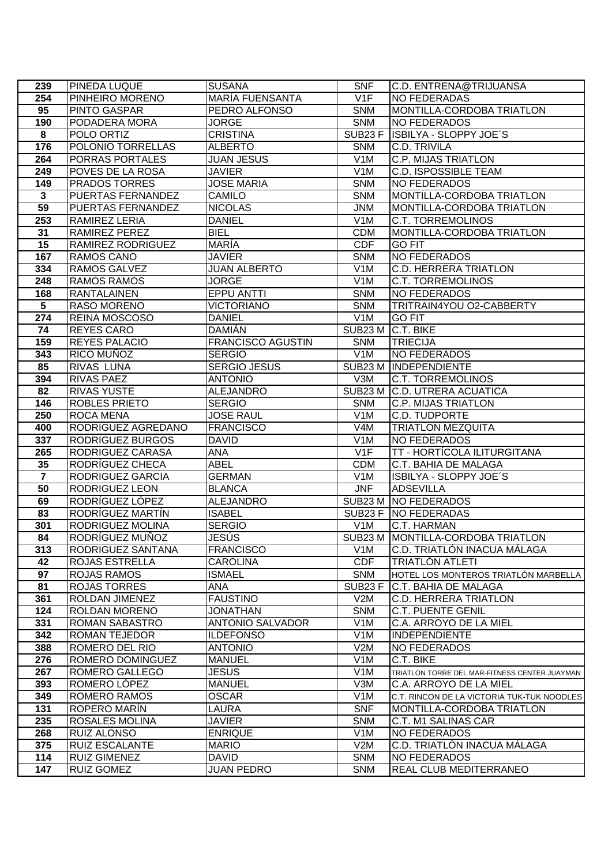| 239                     | <b>PINEDA LUQUE</b>                 | <b>SUSANA</b>                     | <b>SNF</b>        | C.D. ENTRENA@TRIJUANSA                         |
|-------------------------|-------------------------------------|-----------------------------------|-------------------|------------------------------------------------|
| 254                     | PINHEIRO MORENO                     | MARÍA FUENSANTA                   | V1F               | <b>NO FEDERADAS</b>                            |
| 95                      | <b>PINTO GASPAR</b>                 | PEDRO ALFONSO                     | <b>SNM</b>        | MONTILLA-CORDOBA TRIATLON                      |
| 190                     | PODADERA MORA                       | <b>JORGE</b>                      | <b>SNM</b>        | <b>NO FEDERADOS</b>                            |
| $\overline{\mathbf{8}}$ | POLO ORTIZ                          | <b>CRISTINA</b>                   |                   | SUB23 F ISBILYA - SLOPPY JOE'S                 |
| 176                     | POLONIO TORRELLAS                   | <b>ALBERTO</b>                    | <b>SNM</b>        | <b>C.D. TRIVILA</b>                            |
| 264                     | <b>PORRAS PORTALES</b>              | <b>JUAN JESUS</b>                 | V <sub>1</sub> M  | <b>C.P. MIJAS TRIATLON</b>                     |
| 249                     | POVES DE LA ROSA                    | <b>JAVIER</b>                     | V <sub>1</sub> M  | <b>C.D. ISPOSSIBLE TEAM</b>                    |
| 149                     | <b>PRADOS TORRES</b>                | <b>JOSE MARIA</b>                 | <b>SNM</b>        | <b>NO FEDERADOS</b>                            |
| $\overline{\mathbf{3}}$ | <b>PUERTAS FERNANDEZ</b>            | CAMILO                            | <b>SNM</b>        | MONTILLA-CORDOBA TRIATLON                      |
| 59                      | PUERTAS FERNANDEZ                   | <b>NICOLAS</b>                    | <b>JNM</b>        | <b>MONTILLA-CORDOBA TRIATLON</b>               |
| 253                     | <b>RAMIREZ LERIA</b>                | <b>DANIEL</b>                     | V <sub>1</sub> M  | <b>C.T. TORREMOLINOS</b>                       |
| 31                      | <b>RAMIREZ PEREZ</b>                | <b>BIEL</b>                       | <b>CDM</b>        | MONTILLA-CORDOBA TRIATLON                      |
| 15                      | RAMIREZ RODRIGUEZ                   | MARÍA                             | <b>CDF</b>        | <b>GO FIT</b>                                  |
| 167                     | RAMOS CANO                          | JAVIER                            | <b>SNM</b>        | <b>NO FEDERADOS</b>                            |
| 334                     | <b>RAMOS GALVEZ</b>                 | <b>JUAN ALBERTO</b>               | V1M               | <b>C.D. HERRERA TRIATLON</b>                   |
| 248                     | <b>RAMOS RAMOS</b>                  | <b>JORGE</b>                      | V <sub>1</sub> M  | <b>C.T. TORREMOLINOS</b>                       |
| 168                     | <b>RANTALAINEN</b>                  | <b>EPPU ANTTI</b>                 | <b>SNM</b>        | <b>NO FEDERADOS</b>                            |
| $\overline{5}$          | <b>RASO MORENO</b>                  | <b>VICTORIANO</b>                 | <b>SNM</b>        | TRITRAIN4YOU O2-CABBERTY                       |
| 274                     | REINA MOSCOSO                       | <b>DANIEL</b>                     | V <sub>1</sub> M  | <b>GO FIT</b>                                  |
| 74                      | <b>REYES CARO</b>                   | <b>DAMIÁN</b>                     | SUB23 M C.T. BIKE |                                                |
| 159                     | <b>REYES PALACIO</b>                | <b>FRANCISCO AGUSTIN</b>          | <b>SNM</b>        | <b>TRIECIJA</b>                                |
| 343                     | RICO MUÑOZ                          | <b>SERGIO</b>                     | V1M               | NO FEDERADOS                                   |
| 85                      | <b>RIVAS LUNA</b>                   | <b>SERGIO JESUS</b>               |                   | SUB23 M INDEPENDIENTE                          |
| 394                     | <b>RIVAS PAEZ</b>                   | <b>ANTONIO</b>                    | V3M               | <b>C.T. TORREMOLINOS</b>                       |
| 82                      | <b>RIVAS YUSTE</b>                  | ALEJANDRO                         |                   | SUB23 M C.D. UTRERA ACUATICA                   |
| 146                     | <b>ROBLES PRIETO</b>                | <b>SERGIO</b>                     | <b>SNM</b>        | <b>C.P. MIJAS TRIATLON</b>                     |
| 250                     | <b>ROCA MENA</b>                    | <b>JOSE RAUL</b>                  | V <sub>1</sub> M  | <b>C.D. TUDPORTE</b>                           |
| 400                     | RODRIGUEZ AGREDANO                  | <b>FRANCISCO</b>                  | V <sub>4</sub> M  | <b>TRIATLON MEZQUITA</b>                       |
| 337                     | <b>RODRIGUEZ BURGOS</b>             | <b>DAVID</b>                      | V <sub>1</sub> M  | <b>NO FEDERADOS</b>                            |
| 265                     | RODRIGUEZ CARASA                    | <b>ANA</b>                        | V1F               | TT - HORTÍCOLA ILITURGITANA                    |
| 35                      | RODRÍGUEZ CHECA                     | <b>ABEL</b>                       | <b>CDM</b>        | C.T. BAHIA DE MALAGA                           |
| $\overline{7}$          | RODRIGUEZ GARCIA                    | <b>GERMAN</b>                     | V <sub>1</sub> M  | ISBILYA - SLOPPY JOE'S                         |
| 50                      | <b>RODRIGUEZ LEON</b>               | <b>BLANCA</b>                     | <b>JNF</b>        | <b>ADSEVILLA</b>                               |
| 69<br>83                | RODRÍGUEZ LÓPEZ<br>RODRÍGUEZ MARTÍN | <b>ALEJANDRO</b><br><b>ISABEL</b> |                   | SUB23 M NO FEDERADOS<br>SUB23 F   NO FEDERADAS |
| 301                     | RODRIGUEZ MOLINA                    | <b>SERGIO</b>                     | V <sub>1</sub> M  | C.T. HARMAN                                    |
| 84                      | RODRÍGUEZ MUÑOZ                     | JESÚS                             |                   | SUB23 M MONTILLA-CORDOBA TRIATLON              |
| 313                     | RODRIGUEZ SANTANA                   | <b>FRANCISCO</b>                  | V1M               | C.D. TRIATLÓN INACUA MÁLAGA                    |
| 42                      | <b>ROJAS ESTRELLA</b>               | <b>CAROLINA</b>                   | <b>CDF</b>        | <b>TRIATLÓN ATLETI</b>                         |
| 97                      | <b>ROJAS RAMOS</b>                  | <b>ISMAEL</b>                     | <b>SNM</b>        | HOTEL LOS MONTEROS TRIATLÓN MARBELLA           |
| 81                      | <b>ROJAS TORRES</b>                 | ANA                               | SUB23F            | C.T. BAHIA DE MALAGA                           |
| 361                     | ROLDAN JIMENEZ                      | <b>FAUSTINO</b>                   | V2M               | <b>C.D. HERRERA TRIATLON</b>                   |
| 124                     | ROLDAN MORENO                       | JONATHAN                          | <b>SNM</b>        | <b>C.T. PUENTE GENIL</b>                       |
| 331                     | ROMAN SABASTRO                      | <b>ANTONIO SALVADOR</b>           | V <sub>1</sub> M  | C.A. ARROYO DE LA MIEL                         |
| 342                     | ROMAN TEJEDOR                       | <b>ILDEFONSO</b>                  | V1M               | <b>INDEPENDIENTE</b>                           |
| 388                     | ROMERO DEL RIO                      | <b>ANTONIO</b>                    | V2M               | NO FEDERADOS                                   |
| 276                     | ROMERO DOMINGUEZ                    | <b>MANUEL</b>                     | V <sub>1</sub> M  | C.T. BIKE                                      |
| 267                     | ROMERO GALLEGO                      | <b>JESUS</b>                      | V <sub>1</sub> M  | TRIATLON TORRE DEL MAR-FITNESS CENTER JUAYMAN  |
| 393                     | ROMERO LÓPEZ                        | <b>MANUEL</b>                     | V3M               | C.A. ARROYO DE LA MIEL                         |
| 349                     | <b>ROMERO RAMOS</b>                 | <b>OSCAR</b>                      | V <sub>1</sub> M  | C.T. RINCON DE LA VICTORIA TUK-TUK NOODLES     |
| 131                     | ROPERO MARIN                        | LAURA                             | <b>SNF</b>        | MONTILLA-CORDOBA TRIATLON                      |
| 235                     | ROSALES MOLINA                      | JAVIER                            | <b>SNM</b>        | C.T. M1 SALINAS CAR                            |
| 268                     | <b>RUIZ ALONSO</b>                  | <b>ENRIQUE</b>                    | V <sub>1</sub> M  | <b>NO FEDERADOS</b>                            |
| 375                     | RUIZ ESCALANTE                      | <b>MARIO</b>                      | V2M               | C.D. TRIATLÓN INACUA MÁLAGA                    |
| 114                     | <b>RUIZ GIMENEZ</b>                 | DAVID                             | <b>SNM</b>        | <b>NO FEDERADOS</b>                            |
| 147                     | <b>RUIZ GOMEZ</b>                   | <b>JUAN PEDRO</b>                 | <b>SNM</b>        | <b>REAL CLUB MEDITERRANEO</b>                  |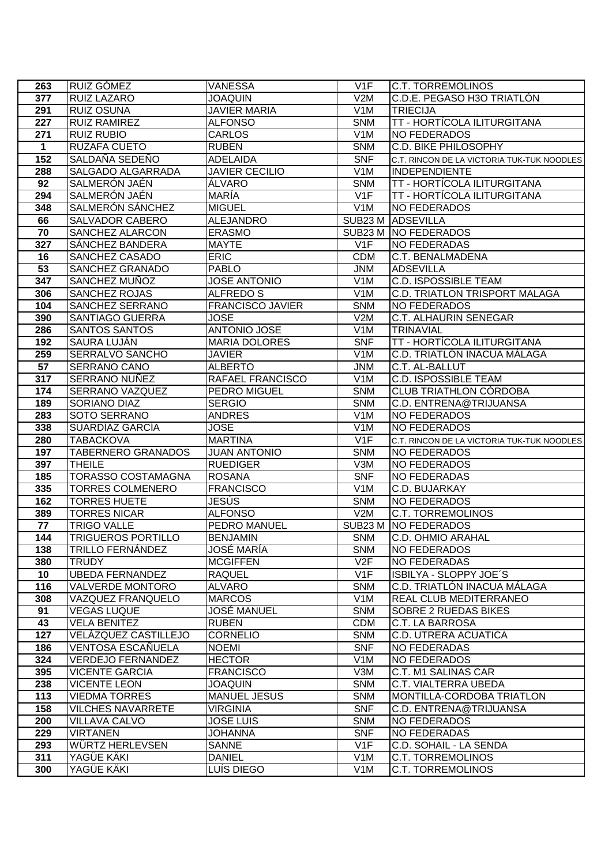| 263             | RUIZ GÓMEZ                                       | <b>VANESSA</b>                         | V <sub>1</sub> F                     | <b>C.T. TORREMOLINOS</b>                   |
|-----------------|--------------------------------------------------|----------------------------------------|--------------------------------------|--------------------------------------------|
| 377             | RUIZ LAZARO                                      | <b>JOAQUIN</b>                         | V2M                                  | C.D.E. PEGASO H3O TRIATLÓN                 |
| 291             | <b>RUIZ OSUNA</b>                                | <b>JAVIER MARIA</b>                    | V1M                                  | <b>TRIECIJA</b>                            |
| 227             | <b>RUIZ RAMIREZ</b>                              | <b>ALFONSO</b>                         | <b>SNM</b>                           | TT - HORTÍCOLA ILITURGITANA                |
| 271             | <b>RUIZ RUBIO</b>                                | <b>CARLOS</b>                          | V <sub>1</sub> M                     | NO FEDERADOS                               |
| 1               | RUZAFA CUETO                                     | <b>RUBEN</b>                           | <b>SNM</b>                           | C.D. BIKE PHILOSOPHY                       |
| 152             | SALDAÑA SEDEÑO                                   | <b>ADELAIDA</b>                        | <b>SNF</b>                           | C.T. RINCON DE LA VICTORIA TUK-TUK NOODLES |
| 288             | SALGADO ALGARRADA                                | <b>JAVIER CECILIO</b>                  | V1M                                  | <b>INDEPENDIENTE</b>                       |
| 92              | SALMERÓN JAÉN                                    | ÁLVARO                                 | <b>SNM</b>                           | TT - HORTÍCOLA ILITURGITANA                |
| 294             | SALMERÓN JAÉN                                    | <b>MARIA</b>                           | V1F                                  | TT - HORTÍCOLA ILITURGITANA                |
| 348             | SALMERÓN SÁNCHEZ                                 | <b>MIGUEL</b>                          | V <sub>1</sub> M                     | <b>NO FEDERADOS</b>                        |
| 66              | <b>SALVADOR CABERO</b>                           | <b>ALEJANDRO</b>                       |                                      | SUB23 M ADSEVILLA                          |
| $\overline{70}$ | <b>SANCHEZ ALARCON</b>                           | <b>ERASMO</b>                          |                                      | SUB23 M NO FEDERADOS                       |
| 327             | <b>SANCHEZ BANDERA</b>                           | <b>MAYTE</b>                           | V <sub>1</sub> F                     | <b>NO FEDERADAS</b>                        |
| 16              | SANCHEZ CASADO                                   | <b>ERIC</b>                            | <b>CDM</b>                           | C.T. BENALMADENA                           |
| 53              | SANCHEZ GRANADO                                  | <b>PABLO</b>                           | <b>JNM</b>                           | <b>ADSEVILLA</b>                           |
| 347             | SANCHEZ MUÑOZ                                    | <b>JOSE ANTONIO</b>                    | V <sub>1</sub> M                     | <b>C.D. ISPOSSIBLE TEAM</b>                |
| 306             | SANCHEZ ROJAS                                    | ALFREDO S                              | V <sub>1</sub> M                     | C.D. TRIATLON TRISPORT MALAGA              |
| 104             | <b>SANCHEZ SERRANO</b>                           | <b>FRANCISCO JAVIER</b>                | <b>SNM</b>                           | <b>NO FEDERADOS</b>                        |
| 390             | <b>SANTIAGO GUERRA</b>                           | <b>JOSE</b>                            | V2M                                  | C.T. ALHAURIN SENEGAR                      |
| 286             | <b>SANTOS SANTOS</b>                             | <b>ANTONIO JOSE</b>                    | V <sub>1</sub> M                     | <b>TRINAVIAL</b>                           |
| 192             | <b>SAURA LUJÁN</b>                               | <b>MARIA DOLORES</b>                   | <b>SNF</b>                           | TT - HORTÍCOLA ILITURGITANA                |
| 259             | <b>SERRALVO SANCHO</b>                           | <b>JAVIER</b>                          | V1M                                  | C.D. TRIATLÓN INACUA MÁLAGA                |
| $\overline{57}$ | <b>SERRANO CANO</b>                              | <b>ALBERTO</b>                         | <b>JNM</b>                           | C.T. AL-BALLUT                             |
| 317             | SERRANO NUÑEZ                                    | RAFAEL FRANCISCO                       | V <sub>1</sub> M                     | <b>C.D. ISPOSSIBLE TEAM</b>                |
| 174             | <b>SERRANO VAZQUEZ</b>                           | PEDRO MIGUEL                           | <b>SNM</b>                           | <b>CLUB TRIATHLON CÓRDOBA</b>              |
| 189             | SORIANO DIAZ                                     | <b>SERGIO</b>                          | <b>SNM</b>                           | C.D. ENTRENA@TRIJUANSA                     |
| 283<br>338      | SOTO SERRANO<br>SUARDÍAZ GARCÍA                  | <b>ANDRES</b><br><b>JOSE</b>           | V <sub>1</sub> M<br>V <sub>1</sub> M | <b>NO FEDERADOS</b><br><b>NO FEDERADOS</b> |
| 280             | <b>TABACKOVA</b>                                 | <b>MARTINA</b>                         | V1F                                  | C.T. RINCON DE LA VICTORIA TUK-TUK NOODLES |
| 197             | <b>TABERNERO GRANADOS</b>                        | <b>JUAN ANTONIO</b>                    | <b>SNM</b>                           | <b>NO FEDERADOS</b>                        |
| 397             | <b>THEILE</b>                                    | <b>RUEDIGER</b>                        | $\overline{V}$ 3M                    | <b>NO FEDERADOS</b>                        |
| 185             | <b>TORASSO COSTAMAGNA</b>                        | <b>ROSANA</b>                          | <b>SNF</b>                           | <b>NO FEDERADAS</b>                        |
| 335             | <b>TORRES COLMENERO</b>                          | <b>FRANCISCO</b>                       | V <sub>1</sub> M                     | C.D. BUJARKAY                              |
| 162             | <b>TORRES HUETE</b>                              | JESÚS                                  | <b>SNM</b>                           | <b>NO FEDERADOS</b>                        |
| 389             | <b>TORRES NICAR</b>                              | <b>ALFONSO</b>                         | V2M                                  | <b>C.T. TORREMOLINOS</b>                   |
| 77              | <b>TRIGO VALLE</b>                               | PEDRO MANUEL                           |                                      | SUB23 M NO FEDERADOS                       |
| 144             | <b>TRIGUEROS PORTILLO</b>                        | <b>BENJAMIN</b>                        | SNM                                  | C.D. OHMIO ARAHAL                          |
| 138             | <b>TRILLO FERNÁNDEZ</b>                          | JOSÉ MARÍA                             | <b>SNM</b>                           | NO FEDERADOS                               |
| 380             | <b>TRUDY</b>                                     | <b>MCGIFFEN</b>                        | V2F                                  | NO FEDERADAS                               |
| 10              | <b>UBEDA FERNANDEZ</b>                           | <b>RAQUEL</b>                          | V1F                                  | ISBILYA - SLOPPY JOE'S                     |
| 116             | <b>VALVERDE MONTORO</b>                          | <b>ALVARO</b>                          | <b>SNM</b>                           | C.D. TRIATLÓN INACUA MÁLAGA                |
| 308             | VAZQUEZ FRANQUELO                                | <b>MARCOS</b>                          | V <sub>1</sub> M                     | REAL CLUB MEDITERRANEO                     |
| 91              | VEGAS LUQUE                                      | JOSÉ MANUEL                            | <b>SNM</b>                           | SOBRE 2 RUEDAS BIKES                       |
| 43              | <b>VELA BENITEZ</b>                              | <b>RUBEN</b>                           | <b>CDM</b>                           | C.T. LA BARROSA                            |
| 127             | VELAZQUEZ CASTILLEJO                             | <b>CORNELIO</b>                        | <b>SNM</b>                           | C.D. UTRERA ACUATICA                       |
| 186             | <b>VENTOSA ESCANUELA</b>                         | <b>NOEMI</b>                           | <b>SNF</b>                           | NO FEDERADAS                               |
| 324             | <b>VERDEJO FERNANDEZ</b>                         | <b>HECTOR</b>                          | V <sub>1</sub> M                     | <b>NO FEDERADOS</b>                        |
| 395             | <b>VICENTE GARCIA</b>                            | <b>FRANCISCO</b>                       | V3M                                  | C.T. M1 SALINAS CAR                        |
| 238             | <b>VICENTE LEON</b>                              | JOAQUIN                                | <b>SNM</b>                           | C.T. VIALTERRA UBEDA                       |
| 113<br>158      | <b>VIEDMA TORRES</b><br><b>VILCHES NAVARRETE</b> | <b>MANUEL JESUS</b><br><b>VIRGINIA</b> | <b>SNM</b><br><b>SNF</b>             | MONTILLA-CORDOBA TRIATLON                  |
| 200             | <b>VILLAVA CALVO</b>                             | <b>JOSE LUIS</b>                       | <b>SNM</b>                           | C.D. ENTRENA@TRIJUANSA<br>NO FEDERADOS     |
| 229             | <b>VIRTANEN</b>                                  | JOHANNA                                | <b>SNF</b>                           | NO FEDERADAS                               |
| 293             | WÜRTZ HERLEVSEN                                  | SANNE                                  | V1F                                  | C.D. SOHAIL - LA SENDA                     |
| 311             | YAGÜE KÄKI                                       | <b>DANIEL</b>                          | V <sub>1</sub> M                     | C.T. TORREMOLINOS                          |
| 300             | YAGÜE KÄKI                                       | LUÍS DIEGO                             | V <sub>1</sub> M                     | <b>C.T. TORREMOLINOS</b>                   |
|                 |                                                  |                                        |                                      |                                            |